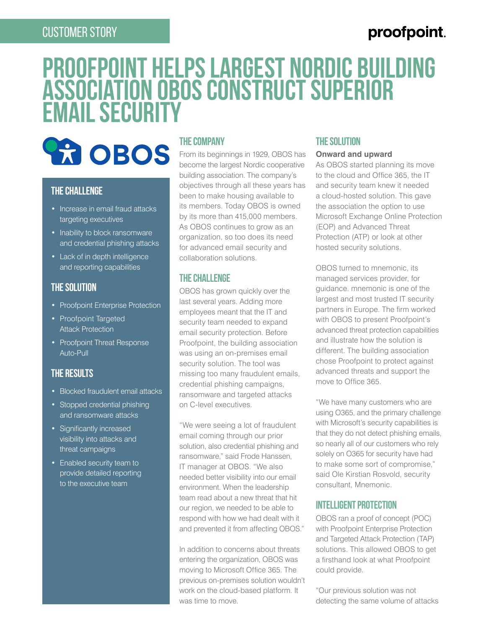### CUSTOMER STORY

## proofpoint.

# **Proofpoint Helps Largest Nordic Building Association OBOS Construct Superior Email Security**



#### **The Challenge**

- Increase in email fraud attacks targeting executives
- Inability to block ransomware and credential phishing attacks
- Lack of in depth intelligence and reporting capabilities

#### **The Solution**

- Proofpoint Enterprise Protection
- Proofpoint Targeted Attack Protection
- Proofpoint Threat Response Auto-Pull

#### **The Results**

- Blocked fraudulent email attacks
- Stopped credential phishing and ransomware attacks
- Significantly increased visibility into attacks and threat campaigns
- Enabled security team to provide detailed reporting to the executive team

#### **The Company**

From its beginnings in 1929, OBOS has become the largest Nordic cooperative building association. The company's objectives through all these years has been to make housing available to its members. Today OBOS is owned by its more than 415,000 members. As OBOS continues to grow as an organization, so too does its need for advanced email security and collaboration solutions.

#### **THE CHALLENGE**

OBOS has grown quickly over the last several years. Adding more employees meant that the IT and security team needed to expand email security protection. Before Proofpoint, the building association was using an on-premises email security solution. The tool was missing too many fraudulent emails, credential phishing campaigns, ransomware and targeted attacks on C-level executives.

"We were seeing a lot of fraudulent email coming through our prior solution, also credential phishing and ransomware," said Frode Hanssen, IT manager at OBOS. "We also needed better visibility into our email environment. When the leadership team read about a new threat that hit our region, we needed to be able to respond with how we had dealt with it and prevented it from affecting OBOS."

In addition to concerns about threats entering the organization, OBOS was moving to Microsoft Office 365. The previous on-premises solution wouldn't work on the cloud-based platform. It was time to move.

#### **The Solution**

#### **Onward and upward**

As OBOS started planning its move to the cloud and Office 365, the IT and security team knew it needed a cloud-hosted solution. This gave the association the option to use Microsoft Exchange Online Protection (EOP) and Advanced Threat Protection (ATP) or look at other hosted security solutions.

OBOS turned to mnemonic, its managed services provider, for guidance. mnemonic is one of the largest and most trusted IT security partners in Europe. The firm worked with OBOS to present Proofpoint's advanced threat protection capabilities and illustrate how the solution is different. The building association chose Proofpoint to protect against advanced threats and support the move to Office 365.

"We have many customers who are using O365, and the primary challenge with Microsoft's security capabilities is that they do not detect phishing emails, so nearly all of our customers who rely solely on O365 for security have had to make some sort of compromise," said Ole Kirstian Rosvold, security consultant, Mnemonic.

#### **Intelligent protection**

OBOS ran a proof of concept (POC) with Proofpoint Enterprise Protection and Targeted Attack Protection (TAP) solutions. This allowed OBOS to get a firsthand look at what Proofpoint could provide.

"Our previous solution was not detecting the same volume of attacks